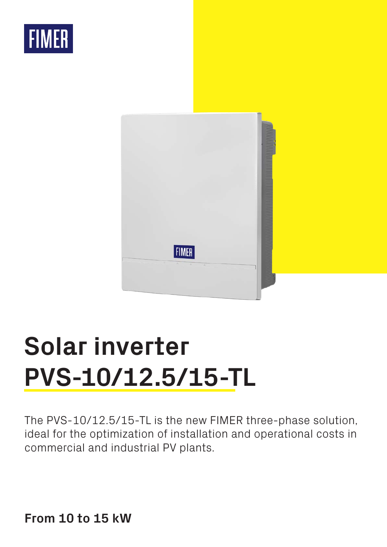



# **Solar inverter PVS-10/12.5/15-TL**

The PVS-10/12.5/15-TL is the new FIMER three-phase solution, ideal for the optimization of installation and operational costs in commercial and industrial PV plants.

**From 10 to 15 kW**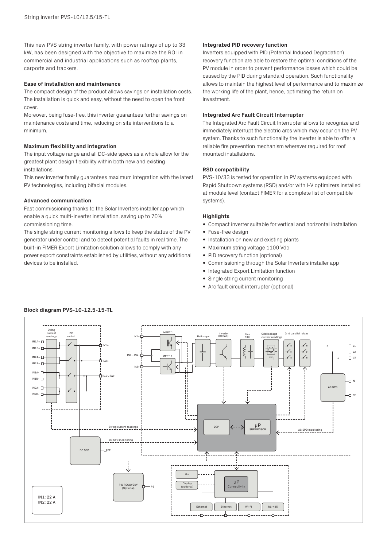This new PVS string inverter family, with power ratings of up to 33 kW, has been designed with the objective to maximize the ROI in commercial and industrial applications such as rooftop plants, carports and trackers.

### **Ease of installation and maintenance**

The compact design of the product allows savings on installation costs. The installation is quick and easy, without the need to open the front cover.

Moreover, being fuse-free, this inverter guarantees further savings on maintenance costs and time, reducing on site interventions to a minimum.

## **Maximum flexibility and integration**

The input voltage range and all DC-side specs as a whole allow for the greatest plant design flexibility within both new and existing installations.

This new inverter family guarantees maximum integration with the latest PV technologies, including bifacial modules.

### **Advanced communication**

Fast commissioning thanks to the Solar Inverters installer app which enable a quick multi-inverter installation, saving up to 70% commissioning time.

The single string current monitoring allows to keep the status of the PV generator under control and to detect potential faults in real time. The built-in FIMER Export Limitation solution allows to comply with any power export constraints established by utilities, without any additional devices to be installed.

# **Integrated PID recovery function**

Inverters equipped with PID (Potential Induced Degradation) recovery function are able to restore the optimal conditions of the PV module in order to prevent performance losses which could be caused by the PID during standard operation. Such functionality allows to maintain the highest level of performance and to maximize the working life of the plant, hence, optimizing the return on investment.

## **Integrated Arc Fault Circuit Interrupter**

The Integrated Arc Fault Circuit Interrupter allows to recognize and immediately interrupt the electric arcs which may occur on the PV system. Thanks to such functionality the inverter is able to offer a reliable fire prevention mechanism wherever required for roof mounted installations.

# **RSD compatibility**

PVS-10/33 is tested for operation in PV systems equipped with Rapid Shutdown systems (RSD) and/or with I-V optimizers installed at module level (contact FIMER for a complete list of compatible systems).

### **Highlights**

- Compact inverter suitable for vertical and horizontal installation
- Fuse-free design
- Installation on new and existing plants
- Maximum string voltage 1100 Vdc
- PID recovery function (optional)
- Commissioning through the Solar Inverters installer app
- Integrated Export Limitation function
- Single string current monitoring
- Arc fault circuit interrupter (optional)



# **Block diagram PVS-10-12.5-15-TL**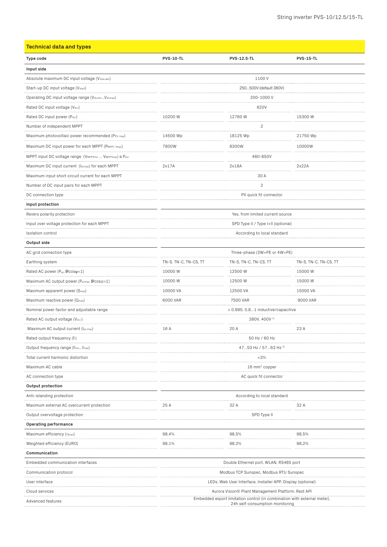| <b>Technical data and types</b>                         |                                                                                                             |                              |                       |  |
|---------------------------------------------------------|-------------------------------------------------------------------------------------------------------------|------------------------------|-----------------------|--|
| Type code                                               | <b>PVS-10-TL</b>                                                                                            | <b>PVS-12.5-TL</b>           | <b>PVS-15-TL</b>      |  |
| Input side                                              |                                                                                                             |                              |                       |  |
| Absolute maximum DC input voltage (Vmax,abs)            |                                                                                                             | 1100V                        |                       |  |
| Start-up DC input voltage (Vstart)                      |                                                                                                             | 250500V (default 360V)       |                       |  |
| Operating DC input voltage range (VdcminVdcmax)         |                                                                                                             | 200-1000 V                   |                       |  |
| Rated DC input voltage (Vdcr)                           |                                                                                                             | 620V                         |                       |  |
| Rated DC input power (Pdcr)                             | 10200W                                                                                                      | 12760 W                      | 15300W                |  |
| Number of independent MPPT                              |                                                                                                             | 2                            |                       |  |
| Maximum photovoltaic power recommended (PPV, max)       | 14500 Wp                                                                                                    | 18125 Wp                     | 21750 Wp              |  |
| Maximum DC input power for each MPPT (PMPPT, Tmax)      | 7800W                                                                                                       | 8300W                        | 10000W                |  |
| MPPT input DC voltage range (VMPPTmin  VMPPTmax) a Pacr |                                                                                                             | 460-850V                     |                       |  |
| Maximum DC input current (Idcmax) for each MPPT         | 2x17A                                                                                                       | 2x18A                        | 2x22A                 |  |
| Maximum input short circuit current for each MPPT       |                                                                                                             | 30 A                         |                       |  |
| Number of DC input pairs for each MPPT                  | 2                                                                                                           |                              |                       |  |
| DC connection type                                      |                                                                                                             | PV quick fit connector       |                       |  |
| Input protection                                        |                                                                                                             |                              |                       |  |
| Revers polarity protection                              | Yes, from limited current source                                                                            |                              |                       |  |
| Input over voltage protection for each MPPT             | SPD Type II / Type I+II (optional)                                                                          |                              |                       |  |
| .<br>Isolation control                                  | According to local standard                                                                                 |                              |                       |  |
| Output side                                             |                                                                                                             |                              |                       |  |
| AC grid connection type                                 |                                                                                                             | Three-phase (3W+PE or 4W+PE) |                       |  |
| Earthing system                                         | TN-S, TN-C, TN-CS, TT                                                                                       | TN-S, TN-C, TN-CS, TT        | TN-S, TN-C, TN-CS, TT |  |
| Rated AC power (Pacr DCOSQ=1)                           | 10000W                                                                                                      | 12500 W                      | 15000W                |  |
| Maximum AC output power (Pacmax 回cosq=1)                | 10000W                                                                                                      | .<br>12500W                  | 15000W                |  |
| Maximum apparent power (S <sub>max</sub> )              | 10000 VA                                                                                                    | 12500 VA                     | 15000 VA              |  |
| Maximum reactive power (Qmax)                           | .<br>6000 VAR                                                                                               | .<br>7500 VAR                | 9000 VAR              |  |
| Nominal power factor and adjustable range               | $> 0.995$ ; 0,81 inductive/capacitive                                                                       |                              |                       |  |
| Rated AC output voltage (Vac.r)                         | 380V, 400V <sup>1)</sup>                                                                                    |                              |                       |  |
| Maximum AC output current (lac,max)                     | 16 A                                                                                                        | 20 A                         | 23 A                  |  |
| Rated output frequency (fr)                             | 50 Hz / 60 Hz                                                                                               |                              |                       |  |
| Output frequency range (fminfmax)                       | 4753 Hz / 5763 Hz <sup>2)</sup>                                                                             |                              |                       |  |
| Total current harmonic distortion                       | $<$ 3%                                                                                                      |                              |                       |  |
| Maximum AC cable                                        | 16 mm <sup>2</sup> copper                                                                                   |                              |                       |  |
| AC connection type                                      | AC quick fit connector                                                                                      |                              |                       |  |
| <b>Output protection</b>                                |                                                                                                             |                              |                       |  |
| Anti-islanding protection                               |                                                                                                             | According to local standard  |                       |  |
| Maximum external AC overcurrent protection              | 25 A                                                                                                        | 32 A                         | 32 A                  |  |
| Output overvoltage protection                           | SPD Type II<br>.                                                                                            |                              |                       |  |
| Operating performance                                   |                                                                                                             |                              |                       |  |
| Maximum efficiency (nmax)                               | 98,4%                                                                                                       | 98,5%                        | 98,5%                 |  |
| Weighted efficiency (EURO)                              | 98,1%                                                                                                       | 98,2%                        | 98,2%                 |  |
| Communication                                           |                                                                                                             |                              |                       |  |
| Embedded communication interfaces                       | Double Ethernet port, WLAN, RS485 port                                                                      |                              |                       |  |
| Communication protocol                                  | Modbus TCP Sunspec, Modbus RTU Sunspec                                                                      |                              |                       |  |
| User interface                                          | LEDs, Web User Interface, Installer APP, Display (optional)                                                 |                              |                       |  |
| Cloud services                                          | Aurora Vision® Plant Management Platform, Rest API                                                          |                              |                       |  |
| Advanced features                                       | Embedded export limitation control (in combination with external meter),<br>24h self-consumption monitoring |                              |                       |  |